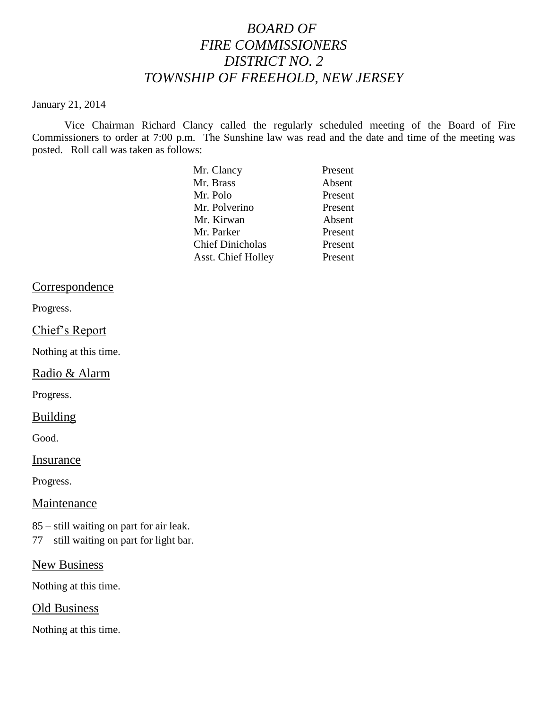# *BOARD OF FIRE COMMISSIONERS DISTRICT NO. 2 TOWNSHIP OF FREEHOLD, NEW JERSEY*

#### January 21, 2014

Vice Chairman Richard Clancy called the regularly scheduled meeting of the Board of Fire Commissioners to order at 7:00 p.m. The Sunshine law was read and the date and time of the meeting was posted. Roll call was taken as follows:

| Mr. Clancy              | Present |
|-------------------------|---------|
| Mr. Brass               | Absent  |
| Mr. Polo                | Present |
| Mr. Polverino           | Present |
| Mr. Kirwan              | Absent  |
| Mr. Parker              | Present |
| <b>Chief Dinicholas</b> | Present |
| Asst. Chief Holley      | Present |

## Correspondence

Progress.

## Chief's Report

Nothing at this time.

## Radio & Alarm

Progress.

#### **Building**

Good.

### Insurance

Progress.

## Maintenance

85 – still waiting on part for air leak. 77 – still waiting on part for light bar.

New Business

Nothing at this time.

#### Old Business

Nothing at this time.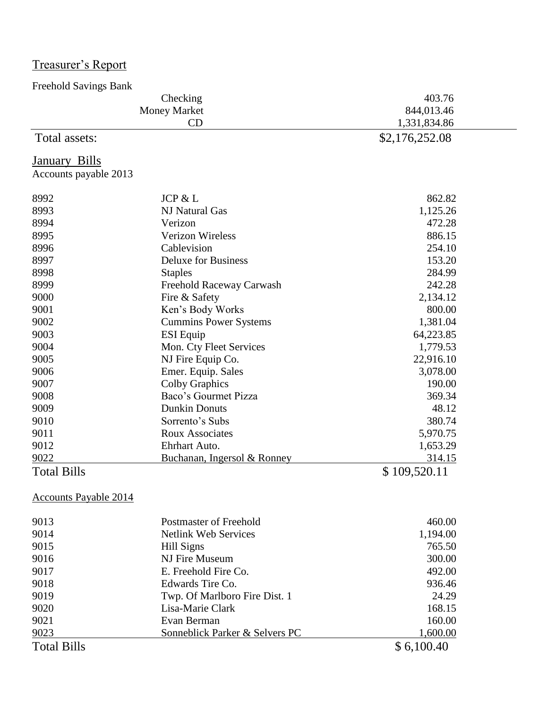| Treasurer's Report |  |
|--------------------|--|
|                    |  |

| <b>Freehold Savings Bank</b> |                               |                |
|------------------------------|-------------------------------|----------------|
| Checking                     |                               | 403.76         |
|                              | <b>Money Market</b>           | 844,013.46     |
|                              | CD                            | 1,331,834.86   |
| Total assets:                |                               | \$2,176,252.08 |
| <b>January Bills</b>         |                               |                |
| Accounts payable 2013        |                               |                |
| 8992                         | JCP & L                       | 862.82         |
| 8993                         | <b>NJ Natural Gas</b>         | 1,125.26       |
| 8994                         | Verizon                       | 472.28         |
| 8995                         | <b>Verizon Wireless</b>       | 886.15         |
| 8996                         | Cablevision                   | 254.10         |
| 8997                         | <b>Deluxe for Business</b>    | 153.20         |
| 8998                         | <b>Staples</b>                | 284.99         |
| 8999                         | Freehold Raceway Carwash      | 242.28         |
| 9000                         | Fire & Safety                 | 2,134.12       |
| 9001                         | Ken's Body Works              | 800.00         |
| 9002                         | <b>Cummins Power Systems</b>  | 1,381.04       |
| 9003                         | <b>ESI</b> Equip              | 64,223.85      |
| 9004                         | Mon. Cty Fleet Services       | 1,779.53       |
| 9005                         | NJ Fire Equip Co.             | 22,916.10      |
| 9006                         | Emer. Equip. Sales            | 3,078.00       |
| 9007                         | <b>Colby Graphics</b>         | 190.00         |
| 9008                         | Baco's Gourmet Pizza          | 369.34         |
| 9009                         | <b>Dunkin Donuts</b>          | 48.12          |
| 9010                         | Sorrento's Subs               | 380.74         |
| 9011                         | <b>Roux Associates</b>        | 5,970.75       |
| 9012                         | Ehrhart Auto.                 | 1,653.29       |
| 9022                         | Buchanan, Ingersol & Ronney   | 314.15         |
| <b>Total Bills</b>           |                               | \$109,520.11   |
| <b>Accounts Payable 2014</b> |                               |                |
| 9013                         | <b>Postmaster of Freehold</b> | 460.00         |
| 9014                         | <b>Netlink Web Services</b>   | 1,194.00       |
| 9015                         | <b>Hill Signs</b>             | 765.50         |
| 0016                         | $NTE_{\text{max}} M$          | 200.00         |

| 201T               |                                | 1,1 <i>)</i> T.VV |
|--------------------|--------------------------------|-------------------|
| 9015               | Hill Signs                     | 765.50            |
| 9016               | NJ Fire Museum                 | 300.00            |
| 9017               | E. Freehold Fire Co.           | 492.00            |
| 9018               | Edwards Tire Co.               | 936.46            |
| 9019               | Twp. Of Marlboro Fire Dist. 1  | 24.29             |
| 9020               | Lisa-Marie Clark               | 168.15            |
| 9021               | Evan Berman                    | 160.00            |
| 9023               | Sonneblick Parker & Selvers PC | 1,600.00          |
| <b>Total Bills</b> |                                | \$6,100.40        |
|                    |                                |                   |